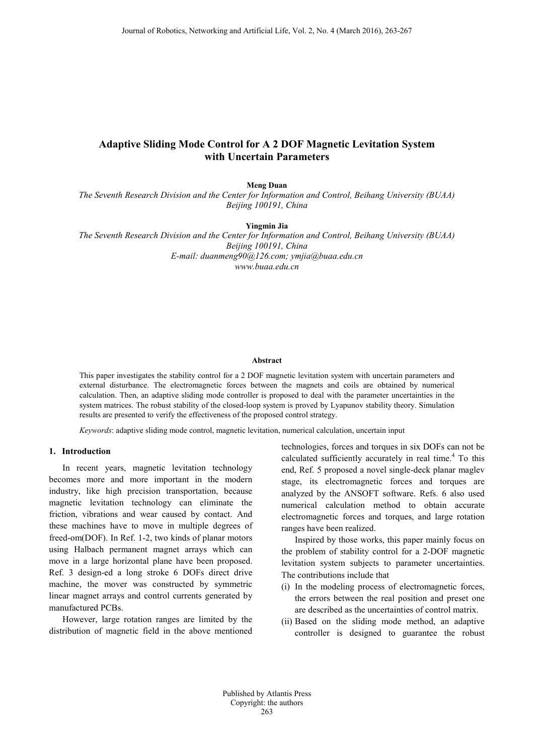# **Adaptive Sliding Mode Control for A 2 DOF Magnetic Levitation System with Uncertain Parameters**

**Meng Duan**

*The Seventh Research Division and the Center for Information and Control, Beihang University (BUAA) Beijing 100191, China*

**Yingmin Jia**

*The Seventh Research Division and the Center for Information and Control, Beihang University (BUAA) Beijing 100191, China E-mail: duanmeng90@126.com; ymjia@buaa.edu.cn www.buaa.edu.cn*

## **Abstract**

This paper investigates the stability control for a 2 DOF magnetic levitation system with uncertain parameters and external disturbance. The electromagnetic forces between the magnets and coils are obtained by numerical calculation. Then, an adaptive sliding mode controller is proposed to deal with the parameter uncertainties in the system matrices. The robust stability of the closed-loop system is proved by Lyapunov stability theory. Simulation results are presented to verify the effectiveness of the proposed control strategy.

*Keywords*: adaptive sliding mode control, magnetic levitation, numerical calculation, uncertain input

# **1. Introduction**

In recent years, magnetic levitation technology becomes more and more important in the modern industry, like high precision transportation, because magnetic levitation technology can eliminate the friction, vibrations and wear caused by contact. And these machines have to move in multiple degrees of freed-om(DOF). In Ref. 1-2, two kinds of planar motors using Halbach permanent magnet arrays which can move in a large horizontal plane have been proposed. Ref. 3 design-ed a long stroke 6 DOFs direct drive machine, the mover was constructed by symmetric linear magnet arrays and control currents generated by manufactured PCBs.

However, large rotation ranges are limited by the distribution of magnetic field in the above mentioned technologies, forces and torques in six DOFs can not be calculated sufficiently accurately in real time. <sup>4</sup> To this end, Ref. 5 proposed a novel single-deck planar maglev stage, its electromagnetic forces and torques are analyzed by the ANSOFT software. Refs. 6 also used numerical calculation method to obtain accurate electromagnetic forces and torques, and large rotation ranges have been realized.

Inspired by those works, this paper mainly focus on the problem of stability control for a 2-DOF magnetic levitation system subjects to parameter uncertainties. The contributions include that

- (i) In the modeling process of electromagnetic forces, the errors between the real position and preset one are described as the uncertainties of control matrix.
- (ii) Based on the sliding mode method, an adaptive controller is designed to guarantee the robust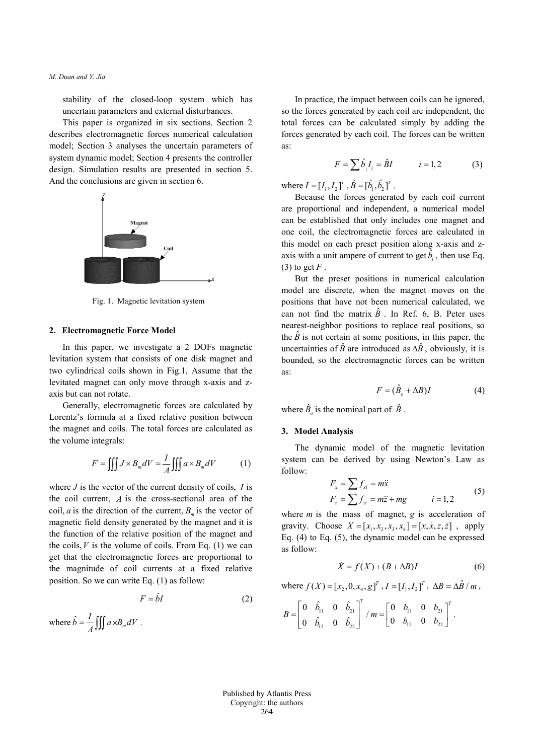stability of the closed-loop system which has uncertain parameters and external disturbances.

This paper is organized in six sections. Section 2 describes electromagnetic forces numerical calculation model; Section 3 analyses the uncertain parameters of system dynamic model; Section 4 presents the controller design. Simulation results are presented in section 5. And the conclusions are given in section 6.



Fig. 1. Magnetic levitation system

### **2. Electromagnetic Force Model**

In this paper, we investigate a 2 DOFs magnetic levitation system that consists of one disk magnet and two cylindrical coils shown in Fig.1, Assume that the levitated magnet can only move through x-axis and zaxis but can not rotate.

Generally, electromagnetic forces are calculated by Lorentz's formula at a fixed relative position between the magnet and coils. The total forces are calculated as the volume integrals:

$$
F = \iiint J \times B_m dV = \frac{I}{A} \iiint a \times B_m dV \tag{1}
$$

where *J* is the vector of the current density of coils, *I* is the coil current, *A* is the cross-sectional area of the coil, *a* is the direction of the current,  $B<sub>m</sub>$  is the vector of magnetic field density generated by the magnet and it is the function of the relative position of the magnet and the coils,  $V$  is the volume of coils. From Eq. (1) we can get that the electromagnetic forces are proportional to the magnitude of coil currents at a fixed relative position. So we can write Eq. (1) as follow:

$$
F = \hat{b}I \tag{2}
$$

where 
$$
\hat{b} = \frac{I}{A} \iiint a \times B_m dV
$$
.

In practice, the impact between coils can be ignored, so the forces generated by each coil are independent, the total forces can be calculated simply by adding the forces generated by each coil. The forces can be written as:

$$
F = \sum \hat{b}_i I_i = \hat{B}I \qquad i = 1, 2 \tag{3}
$$

where  $I = [I_1, I_2]^T$ ,  $\hat{B} = [\hat{b}_1, \hat{b}_2]^T$ .

Because the forces generated by each coil current are proportional and independent, a numerical model can be established that only includes one magnet and one coil, the electromagnetic forces are calculated in this model on each preset position along x-axis and zaxis with a unit ampere of current to get  $\hat{b}_i$ , then use Eq. (3) to get  $F$ .

But the preset positions in numerical calculation model are discrete, when the magnet moves on the positions that have not been numerical calculated, we can not find the matrix  $\hat{B}$ . In Ref. 6, B. Peter uses nearest-neighbor positions to replace real positions, so the  $\hat{B}$  is not certain at some positions, in this paper, the uncertainties of  $\hat{B}$  are introduced as  $\Delta \hat{B}$ , obviously, it is bounded, so the electromagnetic forces can be written as:

$$
F = (\hat{B}_o + \Delta B)I \tag{4}
$$

where  $\hat{B}_o$  is the nominal part of  $\hat{B}$ .

### **3. Model Analysis**

The dynamic model of the magnetic levitation system can be derived by using Newton's Law as follow:

$$
F_x = \sum f_{xi} = m\ddot{x}
$$
  
\n
$$
F_z = \sum f_{zi} = m\ddot{z} + mg
$$
  $i = 1, 2$  (5)

where *m* is the mass of magnet, *g* is acceleration of gravity. Choose  $X = [x_1, x_2, x_3, x_4] = [x, \dot{x}, z, \dot{z}]$ , apply Eq. (4) to Eq. (5), the dynamic model can be expressed as follow:

$$
\dot{X} = f(X) + (B + \Delta B)I \tag{6}
$$

where 
$$
f(X) = [x_2, 0, x_4, g]^T
$$
,  $I = [I_1, I_2]^T$ ,  $\Delta B = \Delta \hat{B} / m$ ,

$$
B=\begin{bmatrix}0 & \hat{b}_{11} & 0 & \hat{b}_{21} \\ 0 & \hat{b}_{12} & 0 & \hat{b}_{22}\end{bmatrix}^T / m = \begin{bmatrix}0 & b_{11} & 0 & b_{21} \\ 0 & b_{12} & 0 & b_{22}\end{bmatrix}^T.
$$

Published by Atlantis Press Copyright: the authors 264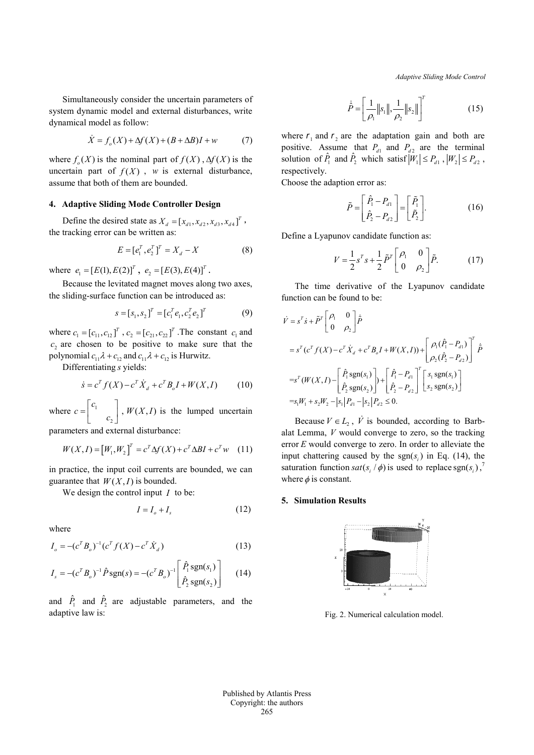*Adaptive Sliding Mode Control*

Simultaneously consider the uncertain parameters of system dynamic model and external disturbances, write dynamical model as follow:

$$
\dot{X} = f_o(X) + \Delta f(X) + (B + \Delta B)I + w \tag{7}
$$

where  $f_o(X)$  is the nominal part of  $f(X)$ ,  $\Delta f(X)$  is the uncertain part of  $f(X)$ , *w* is external disturbance, assume that both of them are bounded.

# **4. Adaptive Sliding Mode Controller Design**

Define the desired state as  $X_d = [x_{d1}, x_{d2}, x_{d3}, x_{d4}]^T$ , the tracking error can be written as:

$$
E = [e_1^T, e_2^T]^T = X_d - X \tag{8}
$$

where  $e_1 = [E(1), E(2)]^T$ ,  $e_2 = [E(3), E(4)]^T$ .

Because the levitated magnet moves along two axes, the sliding-surface function can be introduced as:

$$
s = [s_1, s_2]^T = [c_1^T e_1, c_2^T e_2]^T
$$
 (9)

where  $c_1 = [c_{11}, c_{12}]^T$ ,  $c_2 = [c_{21}, c_{22}]^T$ . The constant  $c_1$  and  $c_2$  are chosen to be positive to make sure that the polynomial  $c_{11} \lambda + c_{12}$  and  $c_{11} \lambda + c_{12}$  is Hurwitz.

Differentiating *s* yields:

$$
\dot{s} = c^T f(X) - c^T \dot{X}_d + c^T B_o I + W(X, I) \tag{10}
$$

where  $c = \begin{vmatrix} 1 \\ 1 \end{vmatrix}$ 2  $c = \begin{bmatrix} c_1 \\ c_2 \end{bmatrix}$ ,  $W(X, I)$  is the lumped uncertain

parameters and external disturbance:

$$
W(X, I) = [W_1, W_2]^T = c^T \Delta f(X) + c^T \Delta B I + c^T w \quad (11)
$$

in practice, the input coil currents are bounded, we can guarantee that  $W(X, I)$  is bounded.

We design the control input *I* to be:

$$
I = I_o + I_s \tag{12}
$$

where

$$
I_o = -(c^T B_o)^{-1} (c^T f(X) - c^T \dot{X}_d)
$$
\n(13)

$$
I_s = -(c^T B_o)^{-1} \hat{P} \operatorname{sgn}(s) = -(c^T B_o)^{-1} \begin{bmatrix} \hat{P}_1 \operatorname{sgn}(s_1) \\ \hat{P}_2 \operatorname{sgn}(s_2) \end{bmatrix}
$$
 (14)

and  $\hat{P}_1$  and  $\hat{P}_2$  are adjustable parameters, and the adaptive law is:

$$
\dot{\hat{P}} = \left[\frac{1}{\rho_1} ||s_1||, \frac{1}{\rho_2} ||s_2||\right]^T
$$
\n(15)

where  $r_1$  and  $r_2$  are the adaptation gain and both are positive. Assume that  $P_{d1}$  and  $P_{d2}$  are the terminal solution of  $\hat{P}_1$  and  $\hat{P}_2$  which satisf  $|W_1| \leq P_{d1}$ ,  $|W_2| \leq P_{d2}$ , respectively.

Choose the adaption error as:

$$
\tilde{P} = \begin{bmatrix} \hat{P}_1 - P_{d1} \\ \hat{P}_2 - P_{d2} \end{bmatrix} = \begin{bmatrix} \tilde{P}_1 \\ \tilde{P}_2 \end{bmatrix}.
$$
 (16)

Define a Lyapunov candidate function as:

$$
V = \frac{1}{2} s^T s + \frac{1}{2} \tilde{P}^T \begin{bmatrix} \rho_1 & 0 \\ 0 & \rho_2 \end{bmatrix} \tilde{P}.
$$
 (17)

The time derivative of the Lyapunov candidate function can be found to be:

$$
\dot{V} = s^T \dot{s} + \tilde{P}^T \begin{bmatrix} \rho_1 & 0 \\ 0 & \rho_2 \end{bmatrix} \dot{\tilde{P}}
$$
\n
$$
= s^T (c^T f(X) - c^T \dot{X}_d + c^T B_o I + W(X, I)) + \begin{bmatrix} \rho_1(\hat{P}_1 - P_{a1}) \\ \rho_2(\hat{P}_2 - P_{a2}) \end{bmatrix}^T \dot{\tilde{P}}
$$
\n
$$
= s^T (W(X, I) - \begin{bmatrix} \hat{P}_1 \text{sgn}(s_1) \\ \hat{P}_2 \text{sgn}(s_2) \end{bmatrix} + \begin{bmatrix} \hat{P}_1 - P_{a1} \\ \hat{P}_2 - P_{a2} \end{bmatrix}^T \begin{bmatrix} s_1 \text{sgn}(s_1) \\ s_2 \text{sgn}(s_2) \end{bmatrix}
$$
\n
$$
= s_1 W_1 + s_2 W_2 - |s_1| P_{a1} - |s_2| P_{a2} \le 0.
$$

Because  $V \in L_2$ ,  $\dot{V}$  is bounded, according to Barbalat Lemma, *V* would converge to zero, so the tracking error *E* would converge to zero. In order to alleviate the input chattering caused by the  $sgn(s_i)$  in Eq. (14), the saturation function  $sat(s_i / \phi)$  is used to replace sgn( $s_i$ ),<sup>7</sup> where  $\phi$  is constant.

#### **5. Simulation Results**



Fig. 2. Numerical calculation model.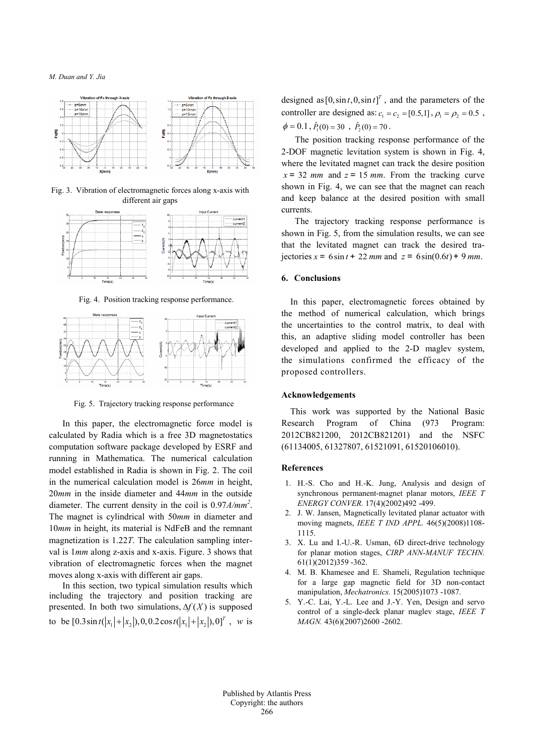

Fig. 3. Vibration of electromagnetic forces along x-axis with different air gaps



Fig. 4. Position tracking response performance.



Fig. 5. Trajectory tracking response performance

In this paper, the electromagnetic force model is calculated by Radia which is a free 3D magnetostatics computation software package developed by ESRF and running in Mathematica. The numerical calculation model established in Radia is shown in Fig. 2. The coil in the numerical calculation model is 26*mm* in height, 20*mm* in the inside diameter and 44*mm* in the outside diameter. The current density in the coil is 0.97*A/mm2* . The magnet is cylindrical with 50*mm* in diameter and 10*mm* in height, its material is NdFeB and the remnant magnetization is 1.22*T*. The calculation sampling interval is 1*mm* along z-axis and x-axis. Figure. 3 shows that vibration of electromagnetic forces when the magnet moves along x-axis with different air gaps.

In this section, two typical simulation results which including the trajectory and position tracking are presented. In both two simulations,  $\Delta f(X)$  is supposed to be  $[0.3\sin t ( |x_1| + |x_2|)$ ,  $0, 0.2\cos t ( |x_1| + |x_2|)$ ,  $0]^T$ , w is designed as  $[0, \sin t, 0, \sin t]^T$ , and the parameters of the controller are designed as:  $c_1 = c_2 = [0.5, 1], \rho_1 = \rho_2 = 0.5$ ,  $\phi = 0.1$ ,  $\hat{P}_1(0) = 30$ ,  $\hat{P}_2(0) = 70$ .

The position tracking response performance of the 2-DOF magnetic levitation system is shown in Fig. 4, where the levitated magnet can track the desire position  $x = 32$  *mm* and  $z = 15$  *mm*. From the tracking curve shown in Fig. 4, we can see that the magnet can reach and keep balance at the desired position with small currents.

The trajectory tracking response performance is shown in Fig. 5, from the simulation results, we can see that the levitated magnet can track the desired trajectories  $x = 6 \sin t + 22$  *mm* and  $z = 6 \sin(0.6t) + 9$  *mm*.

### **6. Conclusions**

In this paper, electromagnetic forces obtained by the method of numerical calculation, which brings the uncertainties to the control matrix, to deal with this, an adaptive sliding model controller has been developed and applied to the 2-D maglev system, the simulations confirmed the efficacy of the proposed controllers.

### **Acknowledgements**

This work was supported by the National Basic Research Program of China (973 Program: 2012CB821200, 2012CB821201) and the NSFC (61134005, 61327807, 61521091, 61520106010).

### **References**

- 1. H.-S. Cho and H.-K. Jung, Analysis and design of synchronous permanent-magnet planar motors, *IEEE T ENERGY CONVER.* 17(4)(2002)492 -499.
- 2. J. W. Jansen, Magnetically levitated planar actuator with moving magnets, *IEEE T IND APPL.* 46(5)(2008)1108- 1115.
- 3. X. Lu and I.-U.-R. Usman, 6D direct-drive technology for planar motion stages, *CIRP ANN-MANUF TECHN.*  61(1)(2012)359 -362.
- 4. M. B. Khamesee and E. Shameli, Regulation technique for a large gap magnetic field for 3D non-contact manipulation, *Mechatronics.* 15(2005)1073 -1087.
- 5. Y.-C. Lai, Y.-L. Lee and J.-Y. Yen, Design and servo control of a single-deck planar maglev stage, *IEEE T MAGN.* 43(6)(2007)2600 -2602.